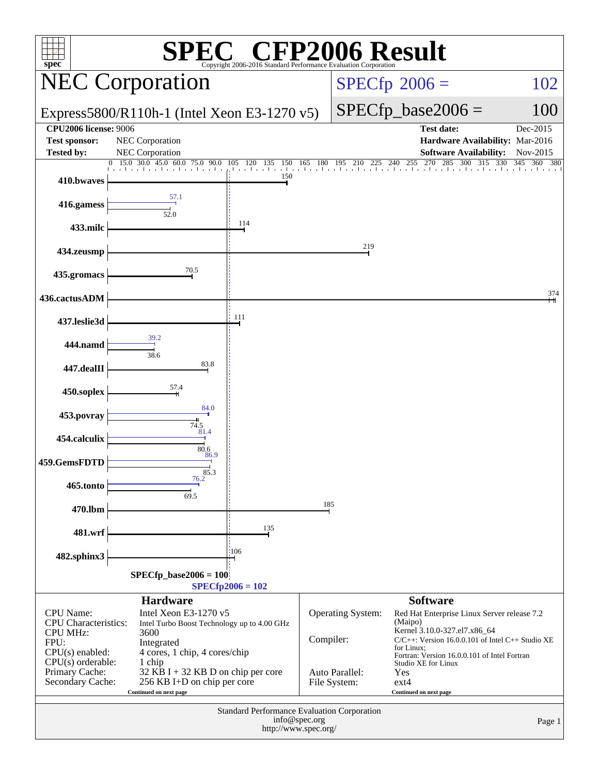| P2006 Result<br><sup>®</sup> CFI<br>$spec^*$<br>Copyright 2006-2016 Standard Performance Evaluation Corporation                          |                                                                                               |                                                                     |                                     |                                                                                                                                                                                                                                        |                                                                  |                       |  |
|------------------------------------------------------------------------------------------------------------------------------------------|-----------------------------------------------------------------------------------------------|---------------------------------------------------------------------|-------------------------------------|----------------------------------------------------------------------------------------------------------------------------------------------------------------------------------------------------------------------------------------|------------------------------------------------------------------|-----------------------|--|
| <b>NEC Corporation</b>                                                                                                                   |                                                                                               |                                                                     |                                     |                                                                                                                                                                                                                                        | $SPECfp^{\circledast}2006 =$                                     | 102                   |  |
| Express5800/R110h-1 (Intel Xeon E3-1270 v5)                                                                                              |                                                                                               |                                                                     |                                     |                                                                                                                                                                                                                                        | $SPECfp\_base2006 =$                                             | 100                   |  |
| <b>CPU2006 license: 9006</b>                                                                                                             |                                                                                               |                                                                     |                                     |                                                                                                                                                                                                                                        | <b>Test date:</b>                                                | Dec-2015              |  |
| <b>Test sponsor:</b><br><b>Tested by:</b>                                                                                                | NEC Corporation<br>NEC Corporation                                                            |                                                                     |                                     |                                                                                                                                                                                                                                        | Hardware Availability: Mar-2016<br><b>Software Availability:</b> | Nov-2015              |  |
|                                                                                                                                          | $\overline{0}$ 15.0 30.0 45.0 60.0 75.0 90.0                                                  | 105 120 135 150                                                     | 165 180 195                         | 210                                                                                                                                                                                                                                    | 270<br>$0$ 225 240 255 270 285 300 315                           | 330<br>345<br>360 380 |  |
| 410.bwaves                                                                                                                               |                                                                                               | and and and a<br>150                                                | .                                   |                                                                                                                                                                                                                                        |                                                                  |                       |  |
| 416.gamess                                                                                                                               | 57.1<br>52.0                                                                                  |                                                                     |                                     |                                                                                                                                                                                                                                        |                                                                  |                       |  |
| 433.milc                                                                                                                                 |                                                                                               | 114                                                                 |                                     |                                                                                                                                                                                                                                        |                                                                  |                       |  |
| 434.zeusmp                                                                                                                               |                                                                                               |                                                                     |                                     | 219                                                                                                                                                                                                                                    |                                                                  |                       |  |
| 435.gromacs                                                                                                                              | 70.5                                                                                          |                                                                     |                                     |                                                                                                                                                                                                                                        |                                                                  |                       |  |
| 436.cactusADM                                                                                                                            |                                                                                               | 111                                                                 |                                     |                                                                                                                                                                                                                                        |                                                                  | 374                   |  |
| 437.leslie3d                                                                                                                             | 39.2                                                                                          |                                                                     |                                     |                                                                                                                                                                                                                                        |                                                                  |                       |  |
| 444.namd                                                                                                                                 | 38.6<br>83.8                                                                                  |                                                                     |                                     |                                                                                                                                                                                                                                        |                                                                  |                       |  |
| 447.dealII                                                                                                                               | 57.4                                                                                          |                                                                     |                                     |                                                                                                                                                                                                                                        |                                                                  |                       |  |
| 450.soplex                                                                                                                               | 84.0                                                                                          |                                                                     |                                     |                                                                                                                                                                                                                                        |                                                                  |                       |  |
| 453.povray                                                                                                                               | 74.5<br>81.4                                                                                  |                                                                     |                                     |                                                                                                                                                                                                                                        |                                                                  |                       |  |
| 454.calculix<br>459.GemsFDTD                                                                                                             | 80.6<br>86.9                                                                                  |                                                                     |                                     |                                                                                                                                                                                                                                        |                                                                  |                       |  |
| 465.tonto                                                                                                                                | 85.3<br>76.2                                                                                  |                                                                     |                                     |                                                                                                                                                                                                                                        |                                                                  |                       |  |
| 470.lbm                                                                                                                                  | 69.5                                                                                          |                                                                     | 185                                 |                                                                                                                                                                                                                                        |                                                                  |                       |  |
| 481.wrf                                                                                                                                  |                                                                                               | 135                                                                 |                                     |                                                                                                                                                                                                                                        |                                                                  |                       |  |
| 482.sphinx3                                                                                                                              |                                                                                               | 106                                                                 |                                     |                                                                                                                                                                                                                                        |                                                                  |                       |  |
|                                                                                                                                          | $SPECfp\_base2006 = 100$                                                                      |                                                                     |                                     |                                                                                                                                                                                                                                        |                                                                  |                       |  |
|                                                                                                                                          |                                                                                               | $SPECfp2006 = 102$                                                  |                                     |                                                                                                                                                                                                                                        |                                                                  |                       |  |
|                                                                                                                                          | <b>Hardware</b><br>Intel Xeon E3-1270 v5                                                      |                                                                     |                                     |                                                                                                                                                                                                                                        | <b>Software</b>                                                  |                       |  |
| <b>CPU</b> Name:<br><b>CPU</b> Characteristics:<br><b>CPU MHz:</b><br>FPU:<br>$CPU(s)$ enabled:<br>$CPU(s)$ orderable:<br>Primary Cache: | Intel Turbo Boost Technology up to 4.00 GHz<br>4 cores, 1 chip, 4 cores/chip                  | Compiler:                                                           | Operating System:<br>Auto Parallel: | Red Hat Enterprise Linux Server release 7.2<br>(Maipo)<br>Kernel 3.10.0-327.el7.x86_64<br>C/C++: Version 16.0.0.101 of Intel C++ Studio XE<br>for Linux;<br>Fortran: Version 16.0.0.101 of Intel Fortran<br>Studio XE for Linux<br>Yes |                                                                  |                       |  |
| Secondary Cache:                                                                                                                         | $32$ KB I + 32 KB D on chip per core<br>256 KB I+D on chip per core<br>Continued on next page |                                                                     | File System:                        |                                                                                                                                                                                                                                        | $ext{4}$<br>Continued on next page                               |                       |  |
|                                                                                                                                          |                                                                                               | Standard Performance Evaluation Corporation<br>http://www.spec.org/ | info@spec.org                       |                                                                                                                                                                                                                                        |                                                                  | Page 1                |  |
|                                                                                                                                          |                                                                                               |                                                                     |                                     |                                                                                                                                                                                                                                        |                                                                  |                       |  |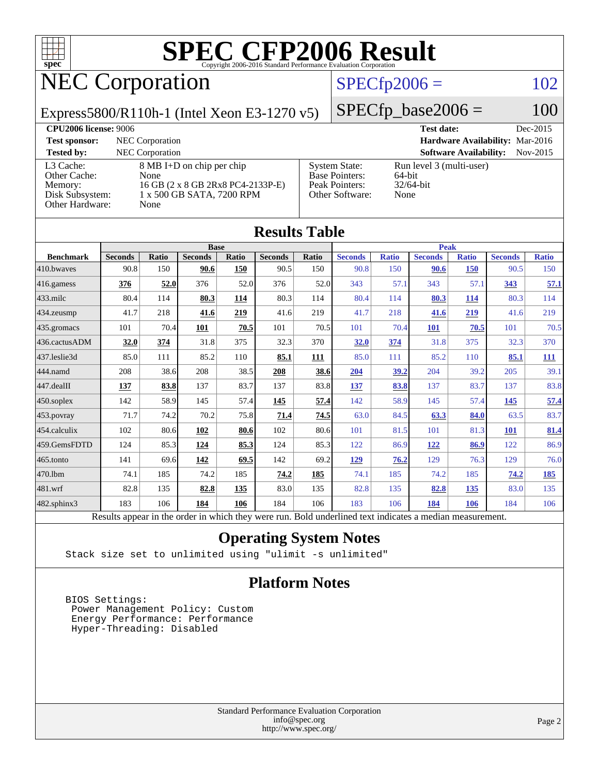

### NEC Corporation

### $SPECfp2006 = 102$  $SPECfp2006 = 102$

Express5800/R110h-1 (Intel Xeon E3-1270 v5)

 $SPECTp\_base2006 = 100$ 

| <b>CPU2006 license: 9006</b>                                               |                                                                                                             |                                                                                    | <b>Test date:</b><br>Dec-2015                              |  |
|----------------------------------------------------------------------------|-------------------------------------------------------------------------------------------------------------|------------------------------------------------------------------------------------|------------------------------------------------------------|--|
| <b>Test sponsor:</b>                                                       | NEC Corporation                                                                                             |                                                                                    | Hardware Availability: Mar-2016                            |  |
| <b>Tested by:</b>                                                          | <b>NEC</b> Corporation                                                                                      |                                                                                    | <b>Software Availability:</b><br>$Nov-2015$                |  |
| L3 Cache:<br>Other Cache:<br>Memory:<br>Disk Subsystem:<br>Other Hardware: | 8 MB I+D on chip per chip<br>None<br>16 GB (2 x 8 GB 2Rx8 PC4-2133P-E)<br>1 x 500 GB SATA, 7200 RPM<br>None | <b>System State:</b><br><b>Base Pointers:</b><br>Peak Pointers:<br>Other Software: | Run level 3 (multi-user)<br>64-bit<br>$32/64$ -bit<br>None |  |

**[Results Table](http://www.spec.org/auto/cpu2006/Docs/result-fields.html#ResultsTable)**

| Results Table                                                                                            |                |              |                |            |                |             |                |              |                |              |                |              |
|----------------------------------------------------------------------------------------------------------|----------------|--------------|----------------|------------|----------------|-------------|----------------|--------------|----------------|--------------|----------------|--------------|
|                                                                                                          | <b>Base</b>    |              |                |            |                | <b>Peak</b> |                |              |                |              |                |              |
| <b>Benchmark</b>                                                                                         | <b>Seconds</b> | <b>Ratio</b> | <b>Seconds</b> | Ratio      | <b>Seconds</b> | Ratio       | <b>Seconds</b> | <b>Ratio</b> | <b>Seconds</b> | <b>Ratio</b> | <b>Seconds</b> | <b>Ratio</b> |
| 410.bwaves                                                                                               | 90.8           | 150          | 90.6           | <b>150</b> | 90.5           | 150         | 90.8           | 150          | 90.6           | 150          | 90.5           | 150          |
| 416.gamess                                                                                               | 376            | 52.0         | 376            | 52.0       | 376            | 52.0        | 343            | 57.1         | 343            | 57.1         | 343            | 57.1         |
| $433$ .milc                                                                                              | 80.4           | 114          | 80.3           | 114        | 80.3           | 114         | 80.4           | 114          | 80.3           | 114          | 80.3           | 114          |
| 434.zeusmp                                                                                               | 41.7           | 218          | 41.6           | 219        | 41.6           | 219         | 41.7           | 218          | 41.6           | 219          | 41.6           | 219          |
| 435.gromacs                                                                                              | 101            | 70.4         | 101            | 70.5       | 101            | 70.5        | 101            | 70.4         | <b>101</b>     | 70.5         | 101            | 70.5         |
| 436.cactusADM                                                                                            | 32.0           | 374          | 31.8           | 375        | 32.3           | 370         | 32.0           | 374          | 31.8           | 375          | 32.3           | 370          |
| 437.leslie3d                                                                                             | 85.0           | 111          | 85.2           | 110        | 85.1           | 111         | 85.0           | 111          | 85.2           | 110          | 85.1           | <u> 111</u>  |
| 444.namd                                                                                                 | 208            | 38.6         | 208            | 38.5       | 208            | 38.6        | 204            | 39.2         | 204            | 39.2         | 205            | 39.1         |
| $447$ .dealII                                                                                            | 137            | 83.8         | 137            | 83.7       | 137            | 83.8        | 137            | 83.8         | 137            | 83.7         | 137            | 83.8         |
| 450.soplex                                                                                               | 142            | 58.9         | 145            | 57.4       | 145            | 57.4        | 142            | 58.9         | 145            | 57.4         | <u>145</u>     | 57.4         |
| 453.povray                                                                                               | 71.7           | 74.2         | 70.2           | 75.8       | 71.4           | 74.5        | 63.0           | 84.5         | 63.3           | 84.0         | 63.5           | 83.7         |
| 454.calculix                                                                                             | 102            | 80.6         | 102            | 80.6       | 102            | 80.6        | 101            | 81.5         | 101            | 81.3         | 101            | 81.4         |
| 459.GemsFDTD                                                                                             | 124            | 85.3         | 124            | 85.3       | 124            | 85.3        | 122            | 86.9         | 122            | 86.9         | 122            | 86.9         |
| $465$ .tonto                                                                                             | 141            | 69.6         | <u>142</u>     | 69.5       | 142            | 69.2        | 129            | 76.2         | 129            | 76.3         | 129            | 76.0         |
| 470.1bm                                                                                                  | 74.1           | 185          | 74.2           | 185        | 74.2           | 185         | 74.1           | 185          | 74.2           | 185          | 74.2           | <u>185</u>   |
| 481.wrf                                                                                                  | 82.8           | 135          | 82.8           | 135        | 83.0           | 135         | 82.8           | 135          | 82.8           | 135          | 83.0           | 135          |
| $482$ .sphinx $3$                                                                                        | 183            | 106          | 184            | 106        | 184            | 106         | 183            | 106          | 184            | 106          | 184            | 106          |
| Results appear in the order in which they were run. Bold underlined text indicates a median measurement. |                |              |                |            |                |             |                |              |                |              |                |              |

#### **[Operating System Notes](http://www.spec.org/auto/cpu2006/Docs/result-fields.html#OperatingSystemNotes)**

Stack size set to unlimited using "ulimit -s unlimited"

### **[Platform Notes](http://www.spec.org/auto/cpu2006/Docs/result-fields.html#PlatformNotes)**

 BIOS Settings: Power Management Policy: Custom Energy Performance: Performance Hyper-Threading: Disabled

> Standard Performance Evaluation Corporation [info@spec.org](mailto:info@spec.org) <http://www.spec.org/>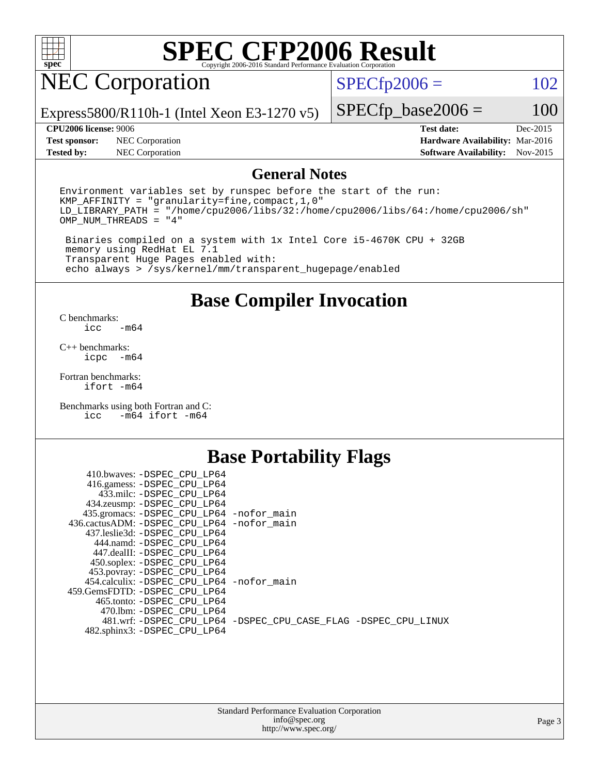

### NEC Corporation

 $SPECfp2006 = 102$  $SPECfp2006 = 102$ 

Express5800/R110h-1 (Intel Xeon E3-1270 v5)

#### **[CPU2006 license:](http://www.spec.org/auto/cpu2006/Docs/result-fields.html#CPU2006license)** 9006 **[Test date:](http://www.spec.org/auto/cpu2006/Docs/result-fields.html#Testdate)** Dec-2015

 $SPECfp\_base2006 = 100$ 

**[Test sponsor:](http://www.spec.org/auto/cpu2006/Docs/result-fields.html#Testsponsor)** NEC Corporation **[Hardware Availability:](http://www.spec.org/auto/cpu2006/Docs/result-fields.html#HardwareAvailability)** Mar-2016 **[Tested by:](http://www.spec.org/auto/cpu2006/Docs/result-fields.html#Testedby)** NEC Corporation **[Software Availability:](http://www.spec.org/auto/cpu2006/Docs/result-fields.html#SoftwareAvailability)** Nov-2015

### **[General Notes](http://www.spec.org/auto/cpu2006/Docs/result-fields.html#GeneralNotes)**

Environment variables set by runspec before the start of the run: KMP\_AFFINITY = "granularity=fine,compact,1,0" LD\_LIBRARY\_PATH = "/home/cpu2006/libs/32:/home/cpu2006/libs/64:/home/cpu2006/sh" OMP\_NUM\_THREADS = "4"

 Binaries compiled on a system with 1x Intel Core i5-4670K CPU + 32GB memory using RedHat EL 7.1 Transparent Huge Pages enabled with: echo always > /sys/kernel/mm/transparent\_hugepage/enabled

### **[Base Compiler Invocation](http://www.spec.org/auto/cpu2006/Docs/result-fields.html#BaseCompilerInvocation)**

[C benchmarks](http://www.spec.org/auto/cpu2006/Docs/result-fields.html#Cbenchmarks):  $-m64$ 

[C++ benchmarks:](http://www.spec.org/auto/cpu2006/Docs/result-fields.html#CXXbenchmarks) [icpc -m64](http://www.spec.org/cpu2006/results/res2016q1/cpu2006-20160125-38793.flags.html#user_CXXbase_intel_icpc_64bit_bedb90c1146cab66620883ef4f41a67e)

[Fortran benchmarks](http://www.spec.org/auto/cpu2006/Docs/result-fields.html#Fortranbenchmarks): [ifort -m64](http://www.spec.org/cpu2006/results/res2016q1/cpu2006-20160125-38793.flags.html#user_FCbase_intel_ifort_64bit_ee9d0fb25645d0210d97eb0527dcc06e)

[Benchmarks using both Fortran and C](http://www.spec.org/auto/cpu2006/Docs/result-fields.html#BenchmarksusingbothFortranandC): [icc -m64](http://www.spec.org/cpu2006/results/res2016q1/cpu2006-20160125-38793.flags.html#user_CC_FCbase_intel_icc_64bit_0b7121f5ab7cfabee23d88897260401c) [ifort -m64](http://www.spec.org/cpu2006/results/res2016q1/cpu2006-20160125-38793.flags.html#user_CC_FCbase_intel_ifort_64bit_ee9d0fb25645d0210d97eb0527dcc06e)

### **[Base Portability Flags](http://www.spec.org/auto/cpu2006/Docs/result-fields.html#BasePortabilityFlags)**

| 410.bwaves: -DSPEC CPU LP64                  |                                                                |
|----------------------------------------------|----------------------------------------------------------------|
| 416.gamess: -DSPEC_CPU_LP64                  |                                                                |
| 433.milc: -DSPEC CPU LP64                    |                                                                |
| 434.zeusmp: -DSPEC_CPU_LP64                  |                                                                |
| 435.gromacs: -DSPEC_CPU_LP64 -nofor_main     |                                                                |
| 436.cactusADM: - DSPEC CPU LP64 - nofor main |                                                                |
| 437.leslie3d: -DSPEC CPU LP64                |                                                                |
| 444.namd: -DSPEC CPU LP64                    |                                                                |
| 447.dealII: -DSPEC CPU LP64                  |                                                                |
| 450.soplex: -DSPEC_CPU_LP64                  |                                                                |
| 453.povray: -DSPEC_CPU_LP64                  |                                                                |
| 454.calculix: - DSPEC CPU LP64 - nofor main  |                                                                |
| 459.GemsFDTD: -DSPEC_CPU LP64                |                                                                |
| 465.tonto: - DSPEC CPU LP64                  |                                                                |
| 470.1bm: - DSPEC_CPU LP64                    |                                                                |
|                                              | 481.wrf: -DSPEC_CPU_LP64 -DSPEC_CPU_CASE_FLAG -DSPEC_CPU_LINUX |
| 482.sphinx3: -DSPEC_CPU_LP64                 |                                                                |
|                                              |                                                                |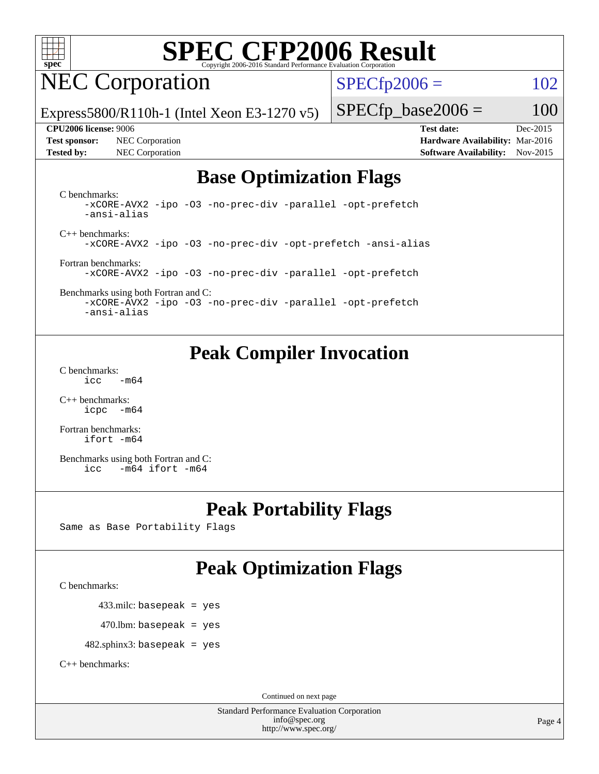

### NEC Corporation

 $SPECTp2006 = 102$ 

Express5800/R110h-1 (Intel Xeon E3-1270 v5)

**[Test sponsor:](http://www.spec.org/auto/cpu2006/Docs/result-fields.html#Testsponsor)** NEC Corporation **[Hardware Availability:](http://www.spec.org/auto/cpu2006/Docs/result-fields.html#HardwareAvailability)** Mar-2016 **[Tested by:](http://www.spec.org/auto/cpu2006/Docs/result-fields.html#Testedby)** NEC Corporation **[Software Availability:](http://www.spec.org/auto/cpu2006/Docs/result-fields.html#SoftwareAvailability)** Nov-2015

 $SPECfp\_base2006 = 100$ 

**[CPU2006 license:](http://www.spec.org/auto/cpu2006/Docs/result-fields.html#CPU2006license)** 9006 **[Test date:](http://www.spec.org/auto/cpu2006/Docs/result-fields.html#Testdate)** Dec-2015

### **[Base Optimization Flags](http://www.spec.org/auto/cpu2006/Docs/result-fields.html#BaseOptimizationFlags)**

[C benchmarks](http://www.spec.org/auto/cpu2006/Docs/result-fields.html#Cbenchmarks): [-xCORE-AVX2](http://www.spec.org/cpu2006/results/res2016q1/cpu2006-20160125-38793.flags.html#user_CCbase_f-xAVX2_5f5fc0cbe2c9f62c816d3e45806c70d7) [-ipo](http://www.spec.org/cpu2006/results/res2016q1/cpu2006-20160125-38793.flags.html#user_CCbase_f-ipo) [-O3](http://www.spec.org/cpu2006/results/res2016q1/cpu2006-20160125-38793.flags.html#user_CCbase_f-O3) [-no-prec-div](http://www.spec.org/cpu2006/results/res2016q1/cpu2006-20160125-38793.flags.html#user_CCbase_f-no-prec-div) [-parallel](http://www.spec.org/cpu2006/results/res2016q1/cpu2006-20160125-38793.flags.html#user_CCbase_f-parallel) [-opt-prefetch](http://www.spec.org/cpu2006/results/res2016q1/cpu2006-20160125-38793.flags.html#user_CCbase_f-opt-prefetch) [-ansi-alias](http://www.spec.org/cpu2006/results/res2016q1/cpu2006-20160125-38793.flags.html#user_CCbase_f-ansi-alias)

[C++ benchmarks:](http://www.spec.org/auto/cpu2006/Docs/result-fields.html#CXXbenchmarks) [-xCORE-AVX2](http://www.spec.org/cpu2006/results/res2016q1/cpu2006-20160125-38793.flags.html#user_CXXbase_f-xAVX2_5f5fc0cbe2c9f62c816d3e45806c70d7) [-ipo](http://www.spec.org/cpu2006/results/res2016q1/cpu2006-20160125-38793.flags.html#user_CXXbase_f-ipo) [-O3](http://www.spec.org/cpu2006/results/res2016q1/cpu2006-20160125-38793.flags.html#user_CXXbase_f-O3) [-no-prec-div](http://www.spec.org/cpu2006/results/res2016q1/cpu2006-20160125-38793.flags.html#user_CXXbase_f-no-prec-div) [-opt-prefetch](http://www.spec.org/cpu2006/results/res2016q1/cpu2006-20160125-38793.flags.html#user_CXXbase_f-opt-prefetch) [-ansi-alias](http://www.spec.org/cpu2006/results/res2016q1/cpu2006-20160125-38793.flags.html#user_CXXbase_f-ansi-alias)

[Fortran benchmarks](http://www.spec.org/auto/cpu2006/Docs/result-fields.html#Fortranbenchmarks): [-xCORE-AVX2](http://www.spec.org/cpu2006/results/res2016q1/cpu2006-20160125-38793.flags.html#user_FCbase_f-xAVX2_5f5fc0cbe2c9f62c816d3e45806c70d7) [-ipo](http://www.spec.org/cpu2006/results/res2016q1/cpu2006-20160125-38793.flags.html#user_FCbase_f-ipo) [-O3](http://www.spec.org/cpu2006/results/res2016q1/cpu2006-20160125-38793.flags.html#user_FCbase_f-O3) [-no-prec-div](http://www.spec.org/cpu2006/results/res2016q1/cpu2006-20160125-38793.flags.html#user_FCbase_f-no-prec-div) [-parallel](http://www.spec.org/cpu2006/results/res2016q1/cpu2006-20160125-38793.flags.html#user_FCbase_f-parallel) [-opt-prefetch](http://www.spec.org/cpu2006/results/res2016q1/cpu2006-20160125-38793.flags.html#user_FCbase_f-opt-prefetch)

[Benchmarks using both Fortran and C](http://www.spec.org/auto/cpu2006/Docs/result-fields.html#BenchmarksusingbothFortranandC): [-xCORE-AVX2](http://www.spec.org/cpu2006/results/res2016q1/cpu2006-20160125-38793.flags.html#user_CC_FCbase_f-xAVX2_5f5fc0cbe2c9f62c816d3e45806c70d7) [-ipo](http://www.spec.org/cpu2006/results/res2016q1/cpu2006-20160125-38793.flags.html#user_CC_FCbase_f-ipo) [-O3](http://www.spec.org/cpu2006/results/res2016q1/cpu2006-20160125-38793.flags.html#user_CC_FCbase_f-O3) [-no-prec-div](http://www.spec.org/cpu2006/results/res2016q1/cpu2006-20160125-38793.flags.html#user_CC_FCbase_f-no-prec-div) [-parallel](http://www.spec.org/cpu2006/results/res2016q1/cpu2006-20160125-38793.flags.html#user_CC_FCbase_f-parallel) [-opt-prefetch](http://www.spec.org/cpu2006/results/res2016q1/cpu2006-20160125-38793.flags.html#user_CC_FCbase_f-opt-prefetch) [-ansi-alias](http://www.spec.org/cpu2006/results/res2016q1/cpu2006-20160125-38793.flags.html#user_CC_FCbase_f-ansi-alias)

### **[Peak Compiler Invocation](http://www.spec.org/auto/cpu2006/Docs/result-fields.html#PeakCompilerInvocation)**

[C benchmarks](http://www.spec.org/auto/cpu2006/Docs/result-fields.html#Cbenchmarks):  $\text{icc}$   $-\text{m64}$ 

[C++ benchmarks:](http://www.spec.org/auto/cpu2006/Docs/result-fields.html#CXXbenchmarks) [icpc -m64](http://www.spec.org/cpu2006/results/res2016q1/cpu2006-20160125-38793.flags.html#user_CXXpeak_intel_icpc_64bit_bedb90c1146cab66620883ef4f41a67e)

[Fortran benchmarks](http://www.spec.org/auto/cpu2006/Docs/result-fields.html#Fortranbenchmarks): [ifort -m64](http://www.spec.org/cpu2006/results/res2016q1/cpu2006-20160125-38793.flags.html#user_FCpeak_intel_ifort_64bit_ee9d0fb25645d0210d97eb0527dcc06e)

[Benchmarks using both Fortran and C](http://www.spec.org/auto/cpu2006/Docs/result-fields.html#BenchmarksusingbothFortranandC): [icc -m64](http://www.spec.org/cpu2006/results/res2016q1/cpu2006-20160125-38793.flags.html#user_CC_FCpeak_intel_icc_64bit_0b7121f5ab7cfabee23d88897260401c) [ifort -m64](http://www.spec.org/cpu2006/results/res2016q1/cpu2006-20160125-38793.flags.html#user_CC_FCpeak_intel_ifort_64bit_ee9d0fb25645d0210d97eb0527dcc06e)

### **[Peak Portability Flags](http://www.spec.org/auto/cpu2006/Docs/result-fields.html#PeakPortabilityFlags)**

Same as Base Portability Flags

### **[Peak Optimization Flags](http://www.spec.org/auto/cpu2006/Docs/result-fields.html#PeakOptimizationFlags)**

[C benchmarks](http://www.spec.org/auto/cpu2006/Docs/result-fields.html#Cbenchmarks):

433.milc: basepeak = yes

 $470$ .lbm: basepeak = yes

482.sphinx3: basepeak = yes

[C++ benchmarks:](http://www.spec.org/auto/cpu2006/Docs/result-fields.html#CXXbenchmarks)

Continued on next page

Standard Performance Evaluation Corporation [info@spec.org](mailto:info@spec.org) <http://www.spec.org/>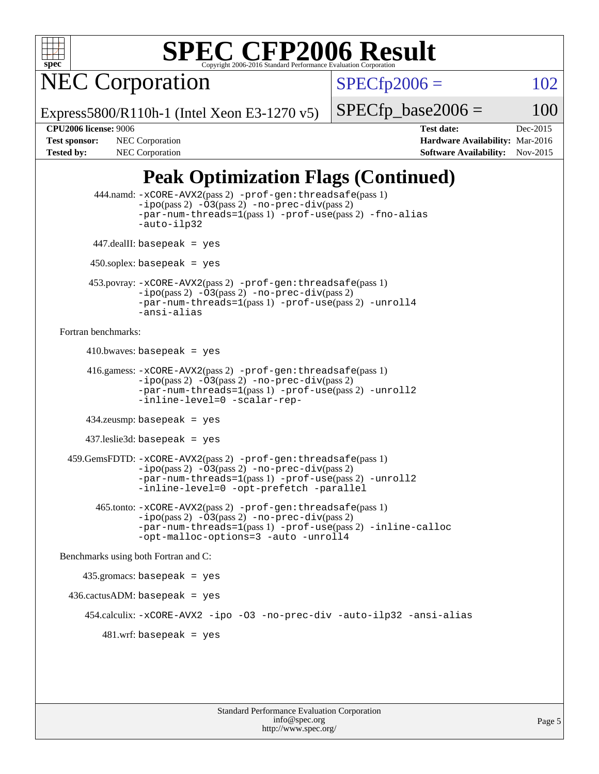

NEC Corporation

 $SPECTp2006 = 102$ 

Express5800/R110h-1 (Intel Xeon E3-1270 v5)

 $SPECTp\_base2006 = 100$ 

**[CPU2006 license:](http://www.spec.org/auto/cpu2006/Docs/result-fields.html#CPU2006license)** 9006 **[Test date:](http://www.spec.org/auto/cpu2006/Docs/result-fields.html#Testdate)** Dec-2015 **[Test sponsor:](http://www.spec.org/auto/cpu2006/Docs/result-fields.html#Testsponsor)** NEC Corporation **NEC Corporation [Hardware Availability:](http://www.spec.org/auto/cpu2006/Docs/result-fields.html#HardwareAvailability)** Mar-2016 **[Tested by:](http://www.spec.org/auto/cpu2006/Docs/result-fields.html#Testedby)** NEC Corporation **[Software Availability:](http://www.spec.org/auto/cpu2006/Docs/result-fields.html#SoftwareAvailability)** Nov-2015

### **[Peak Optimization Flags \(Continued\)](http://www.spec.org/auto/cpu2006/Docs/result-fields.html#PeakOptimizationFlags)**

```
 444.namd: -xCORE-AVX2(pass 2) -prof-gen:threadsafe(pass 1)
               -ipo(pass 2) -03(pass 2) -no-prec-div(pass 2)
               -par-num-threads=1(pass 1) -prof-use(pass 2) -fno-alias
               -auto-ilp32
      447.dealII: basepeak = yes
       450.soplex: basepeak = yes
      453.povray: -xCORE-AVX2(pass 2) -prof-gen:threadsafe(pass 1)
               -no-prec-div(pass 2)-par-num-threads=1(pass 1) -prof-use(pass 2) -unroll4
               -ansi-alias
Fortran benchmarks: 
     410.bwaves: basepeak = yes 416.gamess: -xCORE-AVX2(pass 2) -prof-gen:threadsafe(pass 1)
               -ipo(pass 2) -03(pass 2) -no-prec-div(pass 2)-par-num-threads=1(pass 1) -prof-use(pass 2) -unroll2
               -inline-level=0 -scalar-rep-
      434.zeusmp: basepeak = yes
      437.leslie3d: basepeak = yes
  459.GemsFDTD: -xCORE-AVX2(pass 2) -prof-gen:threadsafe(pass 1)
               -i\text{po}(pass 2) -\tilde{O}3(pass 2)-no-prec-div(pass 2)
               -par-num-threads=1(pass 1) -prof-use(pass 2) -unroll2
               -inline-level=0 -opt-prefetch -parallel
        465.tonto: -xCORE-AVX2(pass 2) -prof-gen:threadsafe(pass 1)
               -no-prec-div(pass 2)-par-num-threads=1(pass 1) -prof-use(pass 2) -inline-calloc
               -opt-malloc-options=3 -auto -unroll4
Benchmarks using both Fortran and C: 
     435.gromacs: basepeak = yes
  436.cactusADM: basepeak = yes
      454.calculix: -xCORE-AVX2 -ipo -O3 -no-prec-div -auto-ilp32 -ansi-alias
        481 \text{.m}: basepeak = yes
```